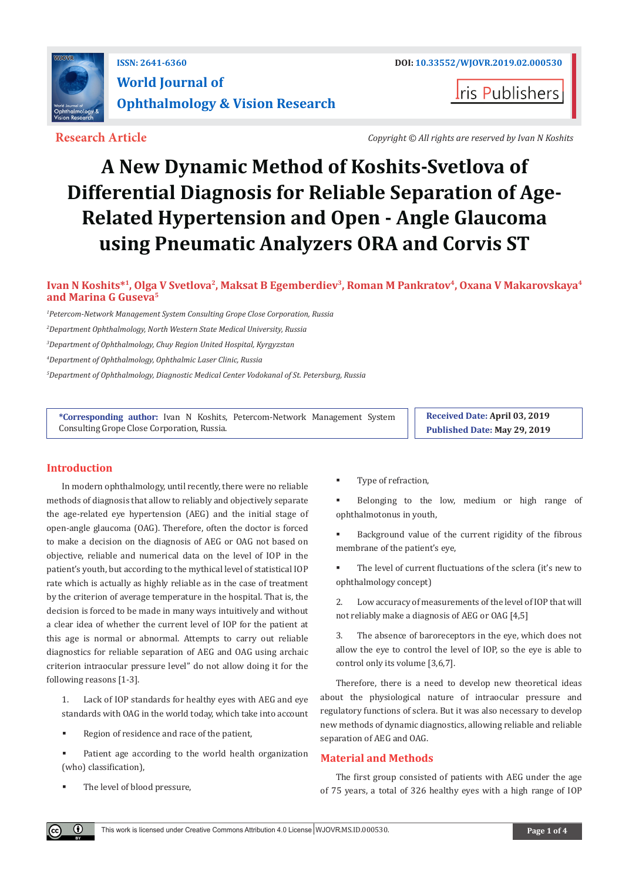

**Iris Publishers** 

**Research Article** *Copyright © All rights are reserved by Ivan N Koshits*

# **A New Dynamic Method of Koshits-Svetlova of Differential Diagnosis for Reliable Separation of Age-Related Hypertension and Open - Angle Glaucoma using Pneumatic Analyzers ORA and Corvis ST**

# **Ivan N Koshits\*1, Olga V Svetlova2, Maksat B Egemberdiev3, Roman М Pankratov4, Oxana V Makarovskaya4 and Marina G Guseva5**

*1 Petercom-Network Management System Consulting Grope Close Corporation, Russia*

*2 Department Ophthalmology, North Western State Medical University, Russia*

*3 Department of Ophthalmology, Chuy Region United Hospital, Kyrgyzstan*

*4 Department of Ophthalmology, Ophthalmic Laser Clinic, Russia*

*5 Department of Ophthalmology, Diagnostic Medical Center Vodokanal of St. Petersburg, Russia*

**\*Corresponding author:** Ivan N Koshits, Petercom-Network Management System Consulting Grope Close Corporation, Russia.

**Received Date: April 03, 2019 Published Date: May 29, 2019**

# **Introduction**

In modern ophthalmology, until recently, there were no reliable methods of diagnosis that allow to reliably and objectively separate the age-related eye hypertension (AEG) and the initial stage of open-angle glaucoma (OAG). Therefore, often the doctor is forced to make a decision on the diagnosis of AEG or OAG not based on objective, reliable and numerical data on the level of IOP in the patient's youth, but according to the mythical level of statistical IOP rate which is actually as highly reliable as in the case of treatment by the criterion of average temperature in the hospital. That is, the decision is forced to be made in many ways intuitively and without a clear idea of whether the current level of IOP for the patient at this age is normal or abnormal. Attempts to carry out reliable diagnostics for reliable separation of AEG and OAG using archaic criterion intraocular pressure level" do not allow doing it for the following reasons [1-3].

1. Lack of IOP standards for healthy eyes with AEG and eye standards with OAG in the world today, which take into account

- Region of residence and race of the patient,
- Patient age according to the world health organization (who) classification),
- The level of blood pressure,

 $\odot$ 

Type of refraction,

 Belonging to the low, medium or high range of ophthalmotonus in youth,

 Background value of the current rigidity of the fibrous membrane of the patient's eye,

 The level of current fluctuations of the sclera (it's new to ophthalmology concept)

2. Low accuracy of measurements of the level of IOP that will not reliably make a diagnosis of AEG or OAG [4,5]

3. The absence of baroreceptors in the eye, which does not allow the eye to control the level of IOP, so the eye is able to control only its volume [3,6,7].

Therefore, there is a need to develop new theoretical ideas about the physiological nature of intraocular pressure and regulatory functions of sclera. But it was also necessary to develop new methods of dynamic diagnostics, allowing reliable and reliable separation of AEG and OAG.

# **Material and Methods**

The first group consisted of patients with AEG under the age of 75 years, a total of 326 healthy eyes with a high range of IOP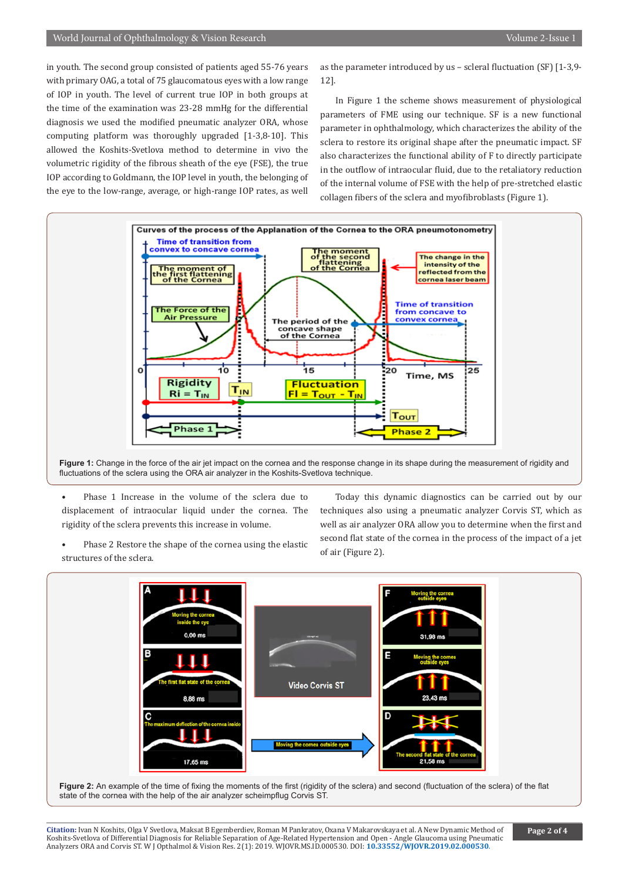in youth. The second group consisted of patients aged 55-76 years with primary OAG, a total of 75 glaucomatous eyes with a low range of IOP in youth. The level of current true IOP in both groups at the time of the examination was 23-28 mmHg for the differential diagnosis we used the modified pneumatic analyzer ORA, whose computing platform was thoroughly upgraded [1-3,8-10]. This allowed the Koshits-Svetlova method to determine in vivo the volumetric rigidity of the fibrous sheath of the eye (FSE), the true IOP according to Goldmann, the IOP level in youth, the belonging of the eye to the low-range, average, or high-range IOP rates, as well as the parameter introduced by us – scleral fluctuation (SF) [1-3,9- 12].

In Figure 1 the scheme shows measurement of physiological parameters of FME using our technique. SF is a new functional parameter in ophthalmology, which characterizes the ability of the sclera to restore its original shape after the pneumatic impact. SF also characterizes the functional ability of F to directly participate in the outflow of intraocular fluid, due to the retaliatory reduction of the internal volume of FSE with the help of pre-stretched elastic collagen fibers of the sclera and myofibroblasts (Figure 1).



**Figure 1:** Change in the force of the air jet impact on the cornea and the response change in its shape during the measurement of rigidity and fluctuations of the sclera using the ORA air analyzer in the Koshits-Svetlova technique.

• Phase 1 Increase in the volume of the sclera due to displacement of intraocular liquid under the cornea. The rigidity of the sclera prevents this increase in volume.

Phase 2 Restore the shape of the cornea using the elastic structures of the sclera.

Today this dynamic diagnostics can be carried out by our techniques also using a pneumatic analyzer Corvis ST, which as well as air analyzer ORA allow you to determine when the first and second flat state of the cornea in the process of the impact of a jet of air (Figure 2).



Figure 2: An example of the time of fixing the moments of the first (rigidity of the sclera) and second (fluctuation of the sclera) of the flat state of the cornea with the help of the air analyzer scheimpflug Corvis ST.

**Citation:** Ivan N Koshits, Olga V Svetlova, Maksat B Egemberdiev, Roman М Pankratov, Oxana V Makarovskaya et al. A New Dynamic Method of Koshits-Svetlova of Differential Diagnosis for Reliable Separation of Age-Related Hypertension an[d Open - Angle Glaucoma using Pneum](http://dx.doi.org/10.33552/WJOVR.2019.02.000530)atic<br>Analyzers ORA and Corvis ST. W J Opthalmol & Vision Res. 2(1): 2019. WJOVR.MS.ID.0005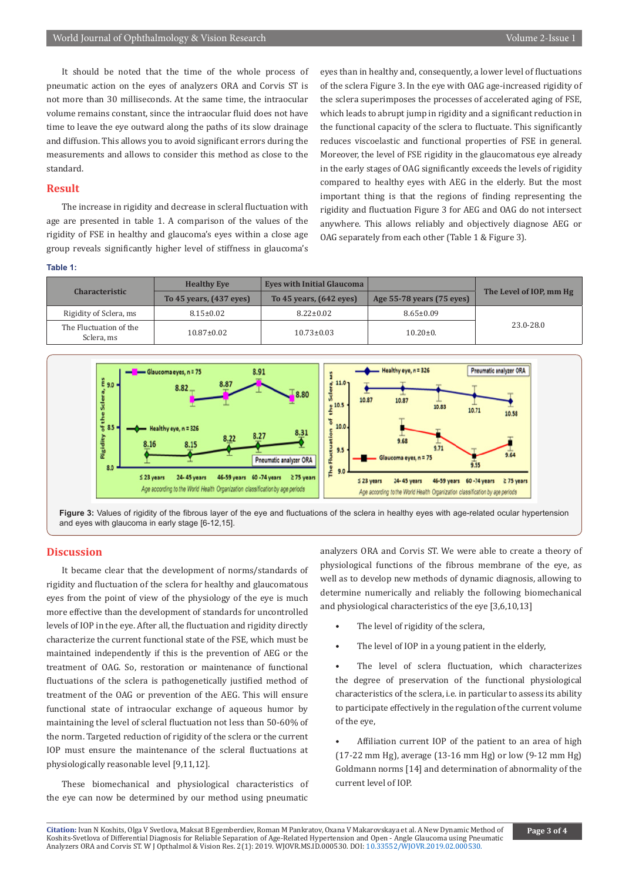It should be noted that the time of the whole process of pneumatic action on the eyes of analyzers ORA and Corvis ST is not more than 30 milliseconds. At the same time, the intraocular volume remains constant, since the intraocular fluid does not have time to leave the eye outward along the paths of its slow drainage and diffusion. This allows you to avoid significant errors during the measurements and allows to consider this method as close to the standard.

### **Result**

The increase in rigidity and decrease in scleral fluctuation with age are presented in table 1. A comparison of the values of the rigidity of FSE in healthy and glaucoma's eyes within a close age group reveals significantly higher level of stiffness in glaucoma's eyes than in healthy and, consequently, a lower level of fluctuations of the sclera Figure 3. In the eye with OAG age-increased rigidity of the sclera superimposes the processes of accelerated aging of FSE, which leads to abrupt jump in rigidity and a significant reduction in the functional capacity of the sclera to fluctuate. This significantly reduces viscoelastic and functional properties of FSE in general. Moreover, the level of FSE rigidity in the glaucomatous eye already in the early stages of OAG significantly exceeds the levels of rigidity compared to healthy eyes with AEG in the elderly. But the most important thing is that the regions of finding representing the rigidity and fluctuation Figure 3 for AEG and OAG do not intersect anywhere. This allows reliably and objectively diagnose AEG or OAG separately from each other (Table 1 & Figure 3).

#### **Table 1:**

| <b>Characteristic</b>                | <b>Healthy Eve</b>      | Eves with Initial Glaucoma |                           | The Level of IOP, mm Hg |
|--------------------------------------|-------------------------|----------------------------|---------------------------|-------------------------|
|                                      | To 45 years, (437 eyes) | To 45 years, (642 eyes)    | Age 55-78 years (75 eyes) |                         |
| Rigidity of Sclera, ms               | $8.15 \pm 0.02$         | $8.22 \pm 0.02$            | $8.65 \pm 0.09$           |                         |
| The Fluctuation of the<br>Sclera, ms | $10.87 \pm 0.02$        | $10.73 \pm 0.03$           | $10.20 \pm 0.$            | 23.0-28.0               |



**Figure 3:** Values of rigidity of the fibrous layer of the eye and fluctuations of the sclera in healthy eyes with age-related ocular hypertension and eyes with glaucoma in early stage [6-12,15].

# **Discussion**

It became clear that the development of norms/standards of rigidity and fluctuation of the sclera for healthy and glaucomatous eyes from the point of view of the physiology of the eye is much more effective than the development of standards for uncontrolled levels of IOP in the eye. After all, the fluctuation and rigidity directly characterize the current functional state of the FSE, which must be maintained independently if this is the prevention of AEG or the treatment of OAG. So, restoration or maintenance of functional fluctuations of the sclera is pathogenetically justified method of treatment of the OAG or prevention of the AEG. This will ensure functional state of intraocular exchange of aqueous humor by maintaining the level of scleral fluctuation not less than 50-60% of the norm. Targeted reduction of rigidity of the sclera or the current IOP must ensure the maintenance of the scleral fluctuations at physiologically reasonable level [9,11,12].

These biomechanical and physiological characteristics of the eye can now be determined by our method using pneumatic analyzers ORA and Corvis ST. We were able to create a theory of physiological functions of the fibrous membrane of the eye, as well as to develop new methods of dynamic diagnosis, allowing to determine numerically and reliably the following biomechanical and physiological characteristics of the eye [3,6,10,13]

- The level of rigidity of the sclera,
- The level of IOP in a young patient in the elderly,

• The level of sclera fluctuation, which characterizes the degree of preservation of the functional physiological characteristics of the sclera, i.e. in particular to assess its ability to participate effectively in the regulation of the current volume of the eye,

Affiliation current IOP of the patient to an area of high (17-22 mm Hg), average (13-16 mm Hg) or low (9-12 mm Hg) Goldmann norms [14] and determination of abnormality of the current level of IOP.